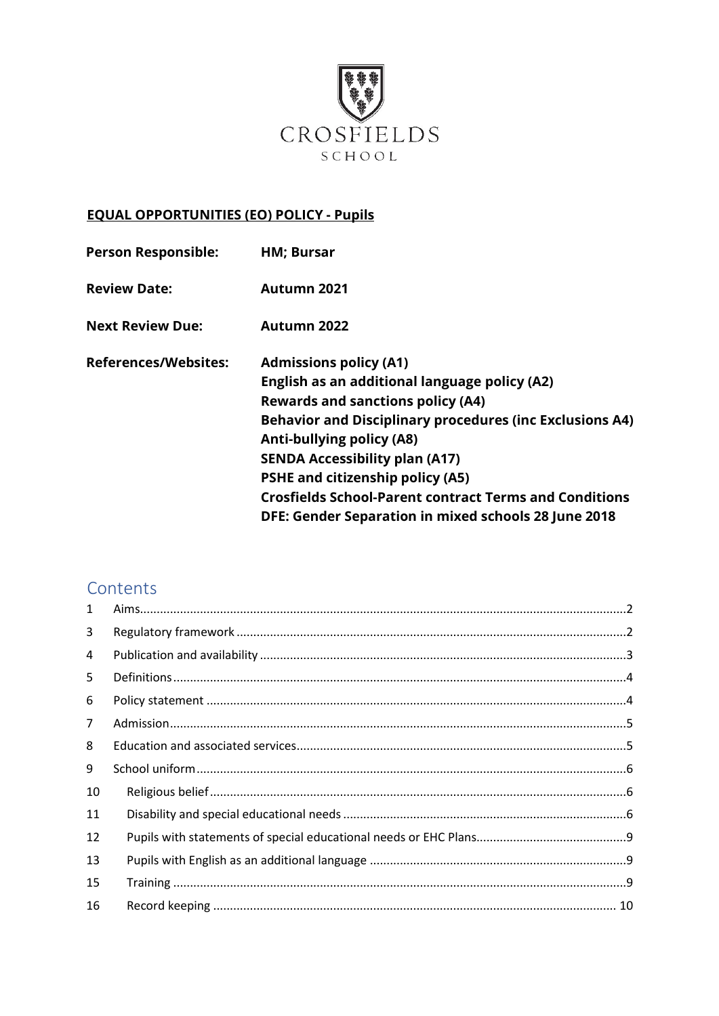

## **EQUAL OPPORTUNITIES (EO) POLICY - Pupils**

| <b>Person Responsible:</b>  | <b>HM</b> ; Bursar                                              |
|-----------------------------|-----------------------------------------------------------------|
| <b>Review Date:</b>         | Autumn 2021                                                     |
| <b>Next Review Due:</b>     | Autumn 2022                                                     |
| <b>References/Websites:</b> | <b>Admissions policy (A1)</b>                                   |
|                             | English as an additional language policy (A2)                   |
|                             | <b>Rewards and sanctions policy (A4)</b>                        |
|                             | <b>Behavior and Disciplinary procedures (inc Exclusions A4)</b> |
|                             | <b>Anti-bullying policy (A8)</b>                                |
|                             | <b>SENDA Accessibility plan (A17)</b>                           |
|                             | <b>PSHE and citizenship policy (A5)</b>                         |
|                             | <b>Crosfields School-Parent contract Terms and Conditions</b>   |
|                             | DFE: Gender Separation in mixed schools 28 June 2018            |

# Contents

| $\mathbf{1}$   |  |
|----------------|--|
| 3              |  |
| 4              |  |
| 5              |  |
| 6              |  |
| $\overline{7}$ |  |
| 8              |  |
| 9              |  |
| 10             |  |
| 11             |  |
| 12             |  |
| 13             |  |
| 15             |  |
| 16             |  |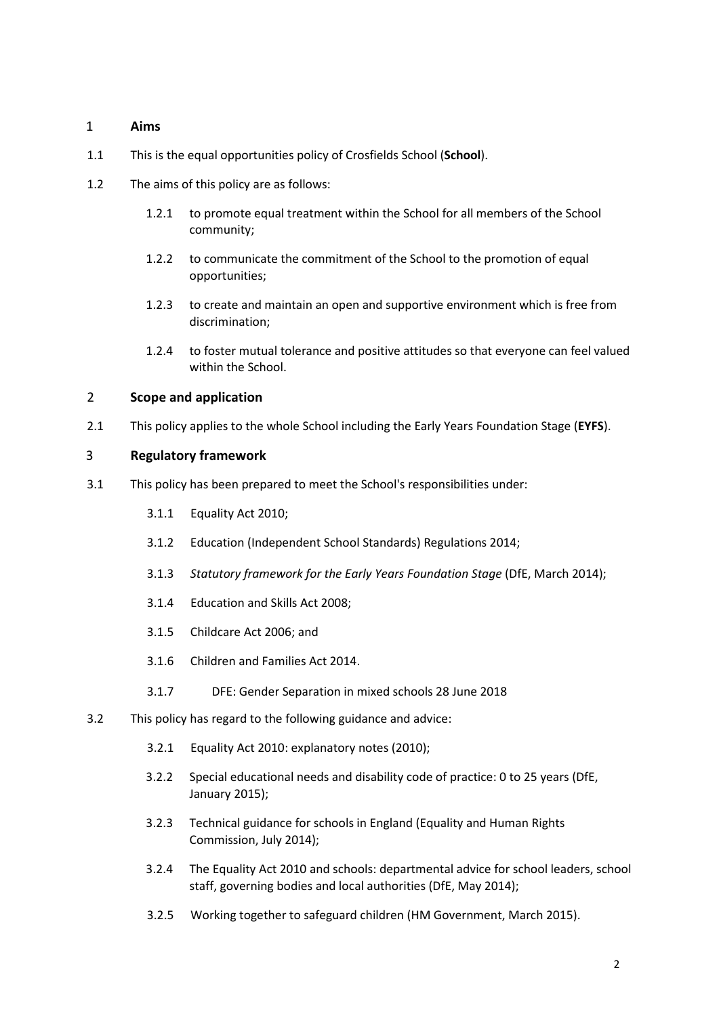#### <span id="page-1-0"></span>1 **Aims**

- 1.1 This is the equal opportunities policy of Crosfields School (**School**).
- 1.2 The aims of this policy are as follows:
	- 1.2.1 to promote equal treatment within the School for all members of the School community;
	- 1.2.2 to communicate the commitment of the School to the promotion of equal opportunities;
	- 1.2.3 to create and maintain an open and supportive environment which is free from discrimination;
	- 1.2.4 to foster mutual tolerance and positive attitudes so that everyone can feel valued within the School.

#### 2 **Scope and application**

2.1 This policy applies to the whole School including the Early Years Foundation Stage (**EYFS**).

#### <span id="page-1-1"></span>3 **Regulatory framework**

- 3.1 This policy has been prepared to meet the School's responsibilities under:
	- 3.1.1 Equality Act 2010;
	- 3.1.2 Education (Independent School Standards) Regulations 2014;
	- 3.1.3 *Statutory framework for the Early Years Foundation Stage* (DfE, March 2014);
	- 3.1.4 Education and Skills Act 2008;
	- 3.1.5 Childcare Act 2006; and
	- 3.1.6 Children and Families Act 2014.
	- 3.1.7 DFE: Gender Separation in mixed schools 28 June 2018
- 3.2 This policy has regard to the following guidance and advice:
	- 3.2.1 [Equality Act 2010: explanatory notes \(2010\);](http://www.legislation.gov.uk/ukpga/2010/15/notes/data.pdf)
	- [3.2.2](https://www.gov.uk/government/publications/send-code-of-practice-0-to-25) [Special educational needs and disability code of practice: 0 to 25 years \(DfE,](https://www.gov.uk/government/publications/send-code-of-practice-0-to-25)  [January 2015\);](https://www.gov.uk/government/publications/send-code-of-practice-0-to-25)
	- [3.2.3](https://www.equalityhumanrights.com/en/publication-download/technical-guidance-schools-england) [Technical guidance for schools in England \(Equality and Human Rights](https://www.equalityhumanrights.com/en/publication-download/technical-guidance-schools-england)  [Commission, July 2014\);](https://www.equalityhumanrights.com/en/publication-download/technical-guidance-schools-england)
	- [3.2.4](https://www.gov.uk/government/publications/equality-act-2010-advice-for-schools) [The Equality Act 2010 and schools: departmental advice for school leaders, school](https://www.gov.uk/government/publications/equality-act-2010-advice-for-schools)  [staff, governing bodies and local authorities \(DfE, May 2014\);](https://www.gov.uk/government/publications/equality-act-2010-advice-for-schools)
	- 3.2.5 [Working together to safeguard children \(HM Government, March 2015\).](https://www.gov.uk/government/publications/working-together-to-safeguard-children--2)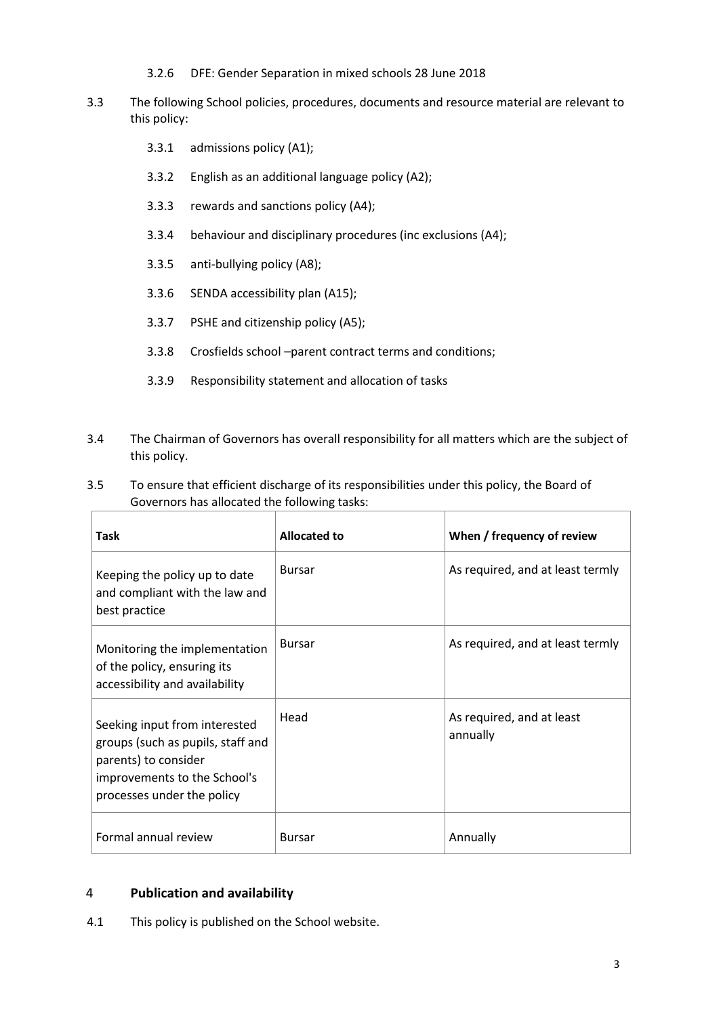- 3.2.6 DFE: Gender Separation in mixed schools 28 June 2018
- 3.3 The following School policies, procedures, documents and resource material are relevant to this policy:
	- 3.3.1 admissions policy (A1);
	- 3.3.2 English as an additional language policy (A2);
	- 3.3.3 rewards and sanctions policy (A4);
	- 3.3.4 behaviour and disciplinary procedures (inc exclusions (A4);
	- 3.3.5 anti-bullying policy (A8);
	- 3.3.6 SENDA accessibility plan (A15);
	- 3.3.7 PSHE and citizenship policy (A5);
	- 3.3.8 Crosfields school –parent contract terms and conditions;
	- 3.3.9 Responsibility statement and allocation of tasks
- 3.4 The Chairman of Governors has overall responsibility for all matters which are the subject of this policy.
- 3.5 To ensure that efficient discharge of its responsibilities under this policy, the Board of Governors has allocated the following tasks:

| Task                                                                                                                                                     | <b>Allocated to</b> | When / frequency of review            |
|----------------------------------------------------------------------------------------------------------------------------------------------------------|---------------------|---------------------------------------|
| Keeping the policy up to date<br>and compliant with the law and<br>best practice                                                                         | <b>Bursar</b>       | As required, and at least termly      |
| Monitoring the implementation<br>of the policy, ensuring its<br>accessibility and availability                                                           | <b>Bursar</b>       | As required, and at least termly      |
| Seeking input from interested<br>groups (such as pupils, staff and<br>parents) to consider<br>improvements to the School's<br>processes under the policy | Head                | As required, and at least<br>annually |
| Formal annual review                                                                                                                                     | <b>Bursar</b>       | Annually                              |

#### <span id="page-2-0"></span>4 **Publication and availability**

4.1 This policy is published on the School website.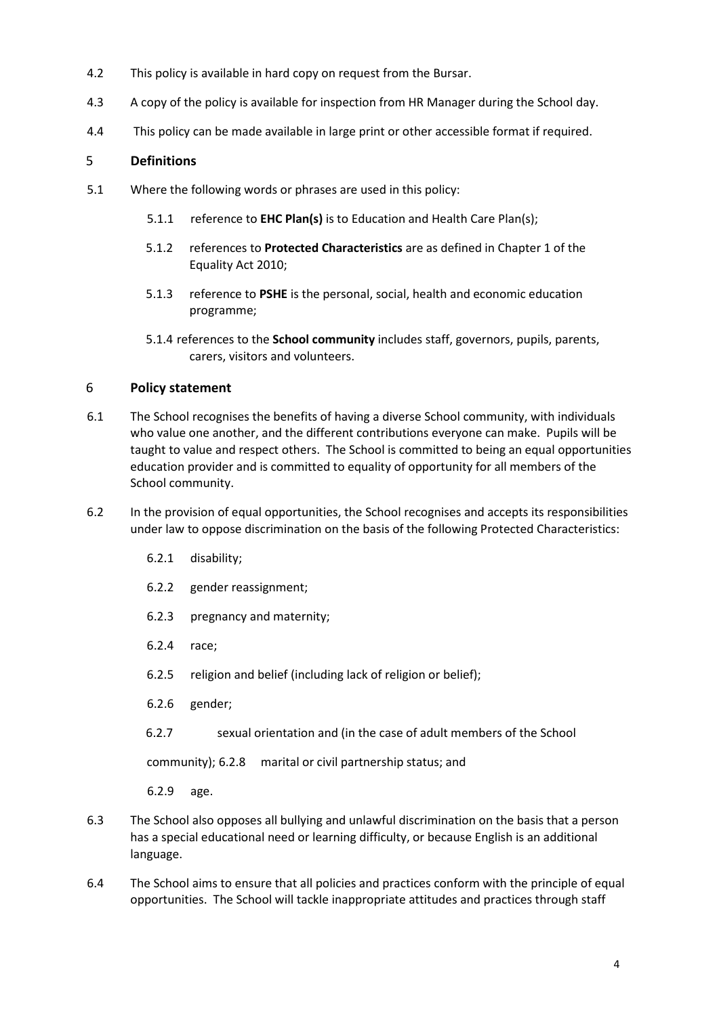- 4.2 This policy is available in hard copy on request from the Bursar.
- 4.3 A copy of the policy is available for inspection from HR Manager during the School day.
- 4.4 This policy can be made available in large print or other accessible format if required.

#### <span id="page-3-0"></span>5 **Definitions**

- 5.1 Where the following words or phrases are used in this policy:
	- 5.1.1 reference to **EHC Plan(s)** is to Education and Health Care Plan(s);
	- 5.1.2 references to **Protected Characteristics** are as defined in Chapter 1 of the Equality Act 2010;
	- 5.1.3 reference to **PSHE** is the personal, social, health and economic education programme;
	- 5.1.4 references to the **School community** includes staff, governors, pupils, parents, carers, visitors and volunteers.

#### <span id="page-3-1"></span>6 **Policy statement**

- 6.1 The School recognises the benefits of having a diverse School community, with individuals who value one another, and the different contributions everyone can make. Pupils will be taught to value and respect others. The School is committed to being an equal opportunities education provider and is committed to equality of opportunity for all members of the School community.
- 6.2 In the provision of equal opportunities, the School recognises and accepts its responsibilities under law to oppose discrimination on the basis of the following Protected Characteristics:
	- 6.2.1 disability;
	- 6.2.2 gender reassignment;
	- 6.2.3 pregnancy and maternity;
	- 6.2.4 race;
	- 6.2.5 religion and belief (including lack of religion or belief);
	- 6.2.6 gender;
	- 6.2.7 sexual orientation and (in the case of adult members of the School

community); 6.2.8 marital or civil partnership status; and

6.2.9 age.

- 6.3 The School also opposes all bullying and unlawful discrimination on the basis that a person has a special educational need or learning difficulty, or because English is an additional language.
- 6.4 The School aims to ensure that all policies and practices conform with the principle of equal opportunities. The School will tackle inappropriate attitudes and practices through staff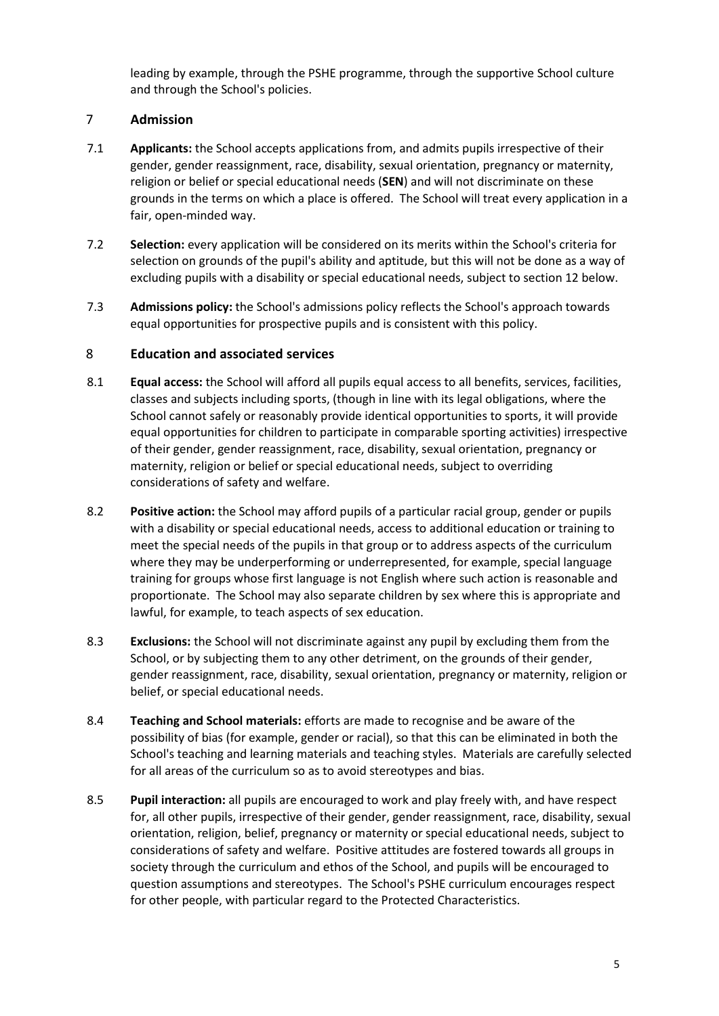leading by example, through the PSHE programme, through the supportive School culture and through the School's policies.

### <span id="page-4-0"></span>7 **Admission**

- 7.1 **Applicants:** the School accepts applications from, and admits pupils irrespective of their gender, gender reassignment, race, disability, sexual orientation, pregnancy or maternity, religion or belief or special educational needs (**SEN**) and will not discriminate on these grounds in the terms on which a place is offered. The School will treat every application in a fair, open-minded way.
- 7.2 **Selection:** every application will be considered on its merits within the School's criteria for selection on grounds of the pupil's ability and aptitude, but this will not be done as a way of excluding pupils with a disability or special educational needs, subject to section 12 below.
- 7.3 **Admissions policy:** the School's admissions policy reflects the School's approach towards equal opportunities for prospective pupils and is consistent with this policy.

#### <span id="page-4-1"></span>8 **Education and associated services**

- 8.1 **Equal access:** the School will afford all pupils equal access to all benefits, services, facilities, classes and subjects including sports, (though in line with its legal obligations, where the School cannot safely or reasonably provide identical opportunities to sports, it will provide equal opportunities for children to participate in comparable sporting activities) irrespective of their gender, gender reassignment, race, disability, sexual orientation, pregnancy or maternity, religion or belief or special educational needs, subject to overriding considerations of safety and welfare.
- 8.2 **Positive action:** the School may afford pupils of a particular racial group, gender or pupils with a disability or special educational needs, access to additional education or training to meet the special needs of the pupils in that group or to address aspects of the curriculum where they may be underperforming or underrepresented, for example, special language training for groups whose first language is not English where such action is reasonable and proportionate. The School may also separate children by sex where this is appropriate and lawful, for example, to teach aspects of sex education.
- 8.3 **Exclusions:** the School will not discriminate against any pupil by excluding them from the School, or by subjecting them to any other detriment, on the grounds of their gender, gender reassignment, race, disability, sexual orientation, pregnancy or maternity, religion or belief, or special educational needs.
- 8.4 **Teaching and School materials:** efforts are made to recognise and be aware of the possibility of bias (for example, gender or racial), so that this can be eliminated in both the School's teaching and learning materials and teaching styles. Materials are carefully selected for all areas of the curriculum so as to avoid stereotypes and bias.
- 8.5 **Pupil interaction:** all pupils are encouraged to work and play freely with, and have respect for, all other pupils, irrespective of their gender, gender reassignment, race, disability, sexual orientation, religion, belief, pregnancy or maternity or special educational needs, subject to considerations of safety and welfare. Positive attitudes are fostered towards all groups in society through the curriculum and ethos of the School, and pupils will be encouraged to question assumptions and stereotypes. The School's PSHE curriculum encourages respect for other people, with particular regard to the Protected Characteristics.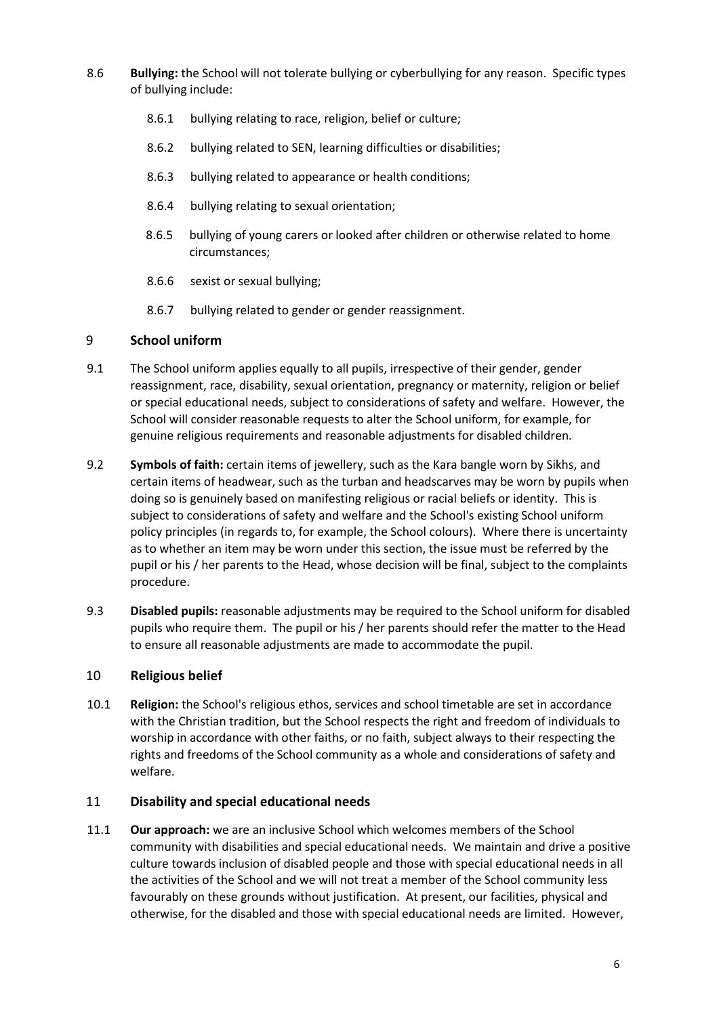- 8.6 **Bullying:** the School will not tolerate bullying or cyberbullying for any reason. Specific types of bullying include:
	- 8.6.1 bullying relating to race, religion, belief or culture;
	- 8.6.2 bullying related to SEN, learning difficulties or disabilities;
	- 8.6.3 bullying related to appearance or health conditions;
	- 8.6.4 bullying relating to sexual orientation;
	- 8.6.5 bullying of young carers or looked after children or otherwise related to home circumstances;
	- 8.6.6 sexist or sexual bullying;
	- 8.6.7 bullying related to gender or gender reassignment.

#### <span id="page-5-0"></span>9 **School uniform**

- 9.1 The School uniform applies equally to all pupils, irrespective of their gender, gender reassignment, race, disability, sexual orientation, pregnancy or maternity, religion or belief or special educational needs, subject to considerations of safety and welfare. However, the School will consider reasonable requests to alter the School uniform, for example, for genuine religious requirements and reasonable adjustments for disabled children.
- 9.2 **Symbols of faith:** certain items of jewellery, such as the Kara bangle worn by Sikhs, and certain items of headwear, such as the turban and headscarves may be worn by pupils when doing so is genuinely based on manifesting religious or racial beliefs or identity. This is subject to considerations of safety and welfare and the School's existing School uniform policy principles (in regards to, for example, the School colours). Where there is uncertainty as to whether an item may be worn under this section, the issue must be referred by the pupil or his / her parents to the Head, whose decision will be final, subject to the complaints procedure.
- 9.3 **Disabled pupils:** reasonable adjustments may be required to the School uniform for disabled pupils who require them. The pupil or his / her parents should refer the matter to the Head to ensure all reasonable adjustments are made to accommodate the pupil.

#### <span id="page-5-1"></span>10 **Religious belief**

10.1 **Religion:** the School's religious ethos, services and school timetable are set in accordance with the Christian tradition, but the School respects the right and freedom of individuals to worship in accordance with other faiths, or no faith, subject always to their respecting the rights and freedoms of the School community as a whole and considerations of safety and welfare.

#### <span id="page-5-2"></span>11 **Disability and special educational needs**

11.1 **Our approach:** we are an inclusive School which welcomes members of the School community with disabilities and special educational needs. We maintain and drive a positive culture towards inclusion of disabled people and those with special educational needs in all the activities of the School and we will not treat a member of the School community less favourably on these grounds without justification. At present, our facilities, physical and otherwise, for the disabled and those with special educational needs are limited. However,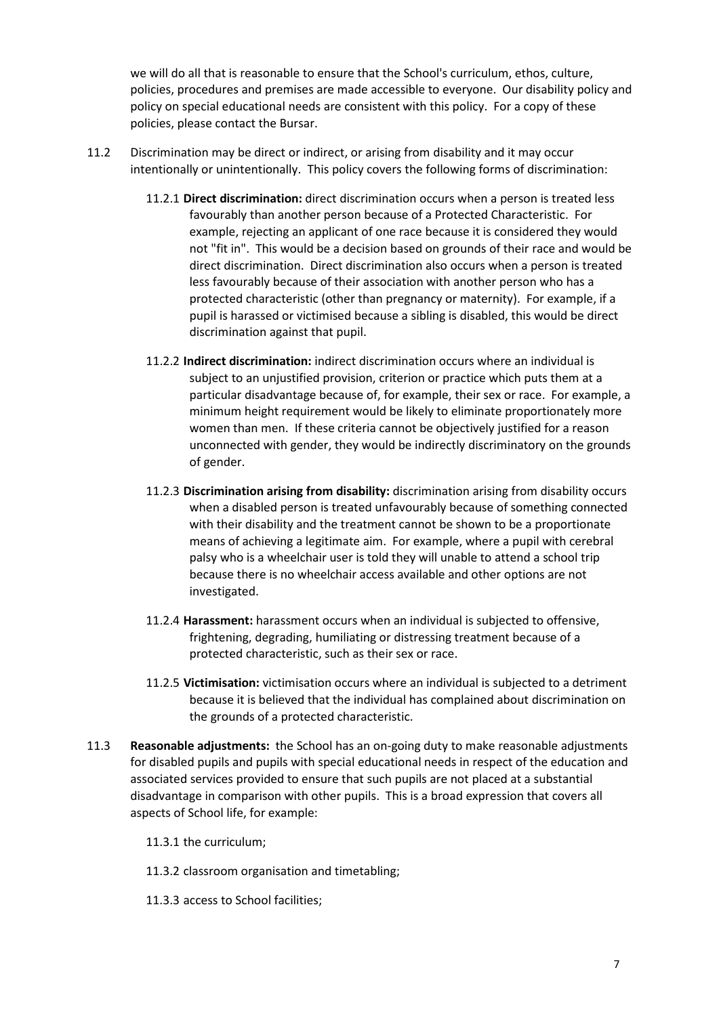we will do all that is reasonable to ensure that the School's curriculum, ethos, culture, policies, procedures and premises are made accessible to everyone. Our disability policy and policy on special educational needs are consistent with this policy. For a copy of these policies, please contact the Bursar.

- 11.2 Discrimination may be direct or indirect, or arising from disability and it may occur intentionally or unintentionally. This policy covers the following forms of discrimination:
	- 11.2.1 **Direct discrimination:** direct discrimination occurs when a person is treated less favourably than another person because of a Protected Characteristic. For example, rejecting an applicant of one race because it is considered they would not "fit in". This would be a decision based on grounds of their race and would be direct discrimination. Direct discrimination also occurs when a person is treated less favourably because of their association with another person who has a protected characteristic (other than pregnancy or maternity). For example, if a pupil is harassed or victimised because a sibling is disabled, this would be direct discrimination against that pupil.
	- 11.2.2 **Indirect discrimination:** indirect discrimination occurs where an individual is subject to an unjustified provision, criterion or practice which puts them at a particular disadvantage because of, for example, their sex or race. For example, a minimum height requirement would be likely to eliminate proportionately more women than men. If these criteria cannot be objectively justified for a reason unconnected with gender, they would be indirectly discriminatory on the grounds of gender.
	- 11.2.3 **Discrimination arising from disability:** discrimination arising from disability occurs when a disabled person is treated unfavourably because of something connected with their disability and the treatment cannot be shown to be a proportionate means of achieving a legitimate aim. For example, where a pupil with cerebral palsy who is a wheelchair user is told they will unable to attend a school trip because there is no wheelchair access available and other options are not investigated.
	- 11.2.4 **Harassment:** harassment occurs when an individual is subjected to offensive, frightening, degrading, humiliating or distressing treatment because of a protected characteristic, such as their sex or race.
	- 11.2.5 **Victimisation:** victimisation occurs where an individual is subjected to a detriment because it is believed that the individual has complained about discrimination on the grounds of a protected characteristic.
- 11.3 **Reasonable adjustments:** the School has an on-going duty to make reasonable adjustments for disabled pupils and pupils with special educational needs in respect of the education and associated services provided to ensure that such pupils are not placed at a substantial disadvantage in comparison with other pupils. This is a broad expression that covers all aspects of School life, for example:
	- 11.3.1 the curriculum;
	- 11.3.2 classroom organisation and timetabling;
	- 11.3.3 access to School facilities;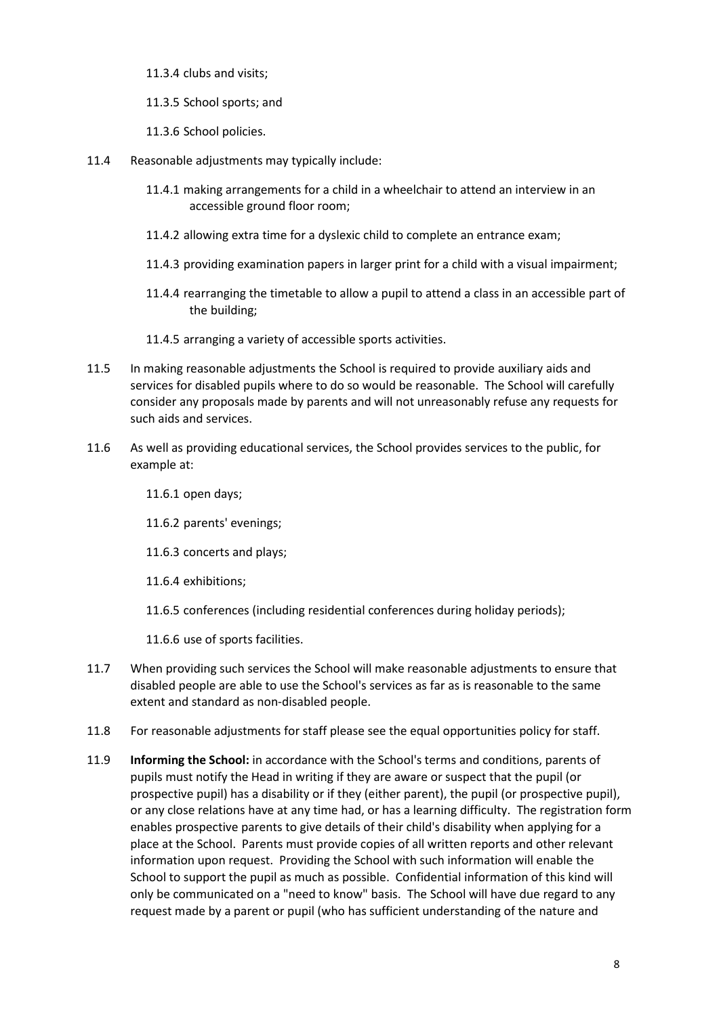11.3.4 clubs and visits;

11.3.5 School sports; and

11.3.6 School policies.

- 11.4 Reasonable adjustments may typically include:
	- 11.4.1 making arrangements for a child in a wheelchair to attend an interview in an accessible ground floor room;
	- 11.4.2 allowing extra time for a dyslexic child to complete an entrance exam;
	- 11.4.3 providing examination papers in larger print for a child with a visual impairment;
	- 11.4.4 rearranging the timetable to allow a pupil to attend a class in an accessible part of the building;

11.4.5 arranging a variety of accessible sports activities.

- 11.5 In making reasonable adjustments the School is required to provide auxiliary aids and services for disabled pupils where to do so would be reasonable. The School will carefully consider any proposals made by parents and will not unreasonably refuse any requests for such aids and services.
- 11.6 As well as providing educational services, the School provides services to the public, for example at:
	- 11.6.1 open days;
	- 11.6.2 parents' evenings;
	- 11.6.3 concerts and plays;
	- 11.6.4 exhibitions;
	- 11.6.5 conferences (including residential conferences during holiday periods);

11.6.6 use of sports facilities.

- 11.7 When providing such services the School will make reasonable adjustments to ensure that disabled people are able to use the School's services as far as is reasonable to the same extent and standard as non-disabled people.
- 11.8 For reasonable adjustments for staff please see the equal opportunities policy for staff.
- 11.9 **Informing the School:** in accordance with the School's terms and conditions, parents of pupils must notify the Head in writing if they are aware or suspect that the pupil (or prospective pupil) has a disability or if they (either parent), the pupil (or prospective pupil), or any close relations have at any time had, or has a learning difficulty. The registration form enables prospective parents to give details of their child's disability when applying for a place at the School. Parents must provide copies of all written reports and other relevant information upon request. Providing the School with such information will enable the School to support the pupil as much as possible. Confidential information of this kind will only be communicated on a "need to know" basis. The School will have due regard to any request made by a parent or pupil (who has sufficient understanding of the nature and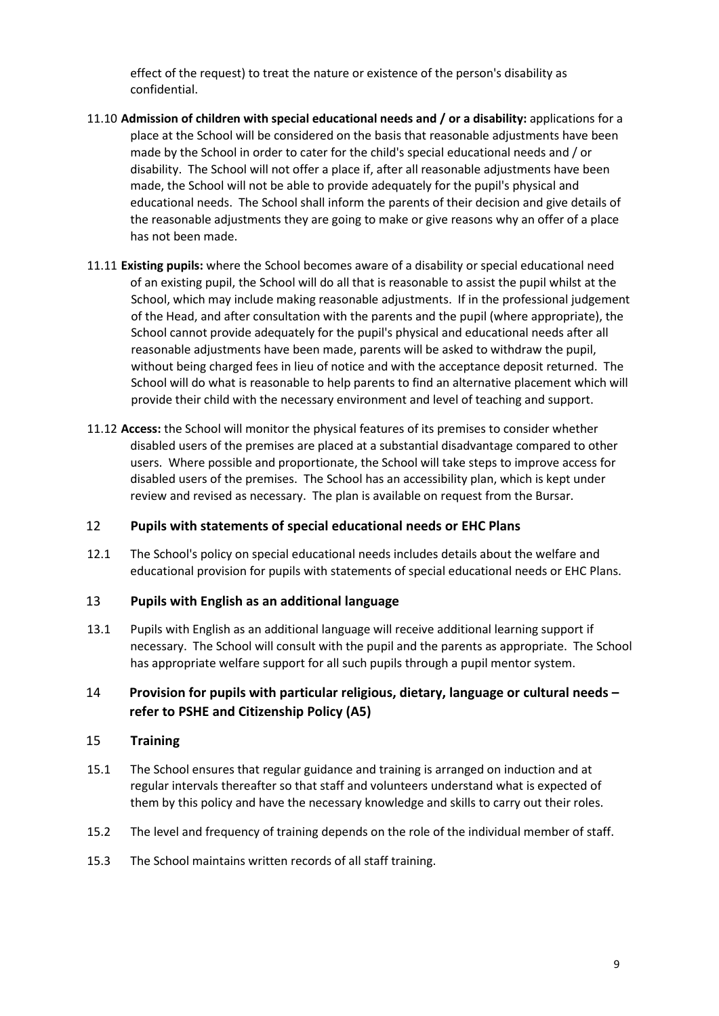effect of the request) to treat the nature or existence of the person's disability as confidential.

- 11.10 **Admission of children with special educational needs and / or a disability:** applications for a place at the School will be considered on the basis that reasonable adjustments have been made by the School in order to cater for the child's special educational needs and / or disability. The School will not offer a place if, after all reasonable adjustments have been made, the School will not be able to provide adequately for the pupil's physical and educational needs. The School shall inform the parents of their decision and give details of the reasonable adjustments they are going to make or give reasons why an offer of a place has not been made.
- 11.11 **Existing pupils:** where the School becomes aware of a disability or special educational need of an existing pupil, the School will do all that is reasonable to assist the pupil whilst at the School, which may include making reasonable adjustments. If in the professional judgement of the Head, and after consultation with the parents and the pupil (where appropriate), the School cannot provide adequately for the pupil's physical and educational needs after all reasonable adjustments have been made, parents will be asked to withdraw the pupil, without being charged fees in lieu of notice and with the acceptance deposit returned. The School will do what is reasonable to help parents to find an alternative placement which will provide their child with the necessary environment and level of teaching and support.
- 11.12 **Access:** the School will monitor the physical features of its premises to consider whether disabled users of the premises are placed at a substantial disadvantage compared to other users. Where possible and proportionate, the School will take steps to improve access for disabled users of the premises. The School has an accessibility plan, which is kept under review and revised as necessary. The plan is available on request from the Bursar.

#### <span id="page-8-0"></span>12 **Pupils with statements of special educational needs or EHC Plans**

12.1 The School's policy on special educational needs includes details about the welfare and educational provision for pupils with statements of special educational needs or EHC Plans.

#### <span id="page-8-1"></span>13 **Pupils with English as an additional language**

13.1 Pupils with English as an additional language will receive additional learning support if necessary. The School will consult with the pupil and the parents as appropriate. The School has appropriate welfare support for all such pupils through a pupil mentor system.

### 14 **Provision for pupils with particular religious, dietary, language or cultural needs – refer to PSHE and Citizenship Policy (A5)**

#### <span id="page-8-2"></span>15 **Training**

- 15.1 The School ensures that regular guidance and training is arranged on induction and at regular intervals thereafter so that staff and volunteers understand what is expected of them by this policy and have the necessary knowledge and skills to carry out their roles.
- 15.2 The level and frequency of training depends on the role of the individual member of staff.
- 15.3 The School maintains written records of all staff training.